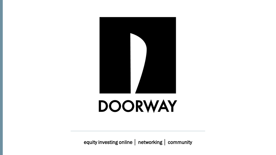

# **DOORWAY**

equity investing online **│** networking **│** community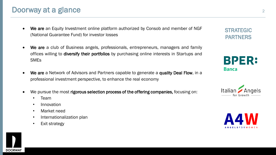# Doorway at a glance  $2$

- We are an Equity Investment online platform authorized by Consob and member of NGF (National Guarantee Fund) for investor losses
- We are a club of Business angels, professionals, entrepreneurs, managers and family offices willing to diversify their portfolios by purchasing online interests in Startups and SMEs
- We are a Network of Advisors and Partners capable to generate a quality Deal Flow, in a professional investment perspective, to enhance the real economy
- We pursue the most rigorous selection process of the offering companies, focusing on:
	- Team
	- Innovation
	- Market need
	- Internationalization plan
	- Exit strategy









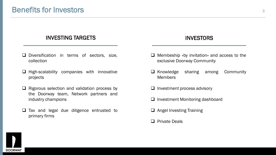### INVESTING TARGETS INVESTORS

- Diversification in terms of sectors, size, collection
- $\Box$  High-scalability companies with innovative projects
- $\Box$  Rigorous selection and validation process by the Doorway team, Network partners and industry champions
- $\Box$  Tax and legal due diligence entrusted to primary firms

- $\Box$  Membeship «by invitation» and access to the exclusive Doorway Community
- $\Box$  Knowledge sharing among Community Members
- $\Box$  Investment process advisory
- $\Box$  Investment Monitoring dashboard
- $\Box$  Angel Investing Training
- $\Box$  Private Deals

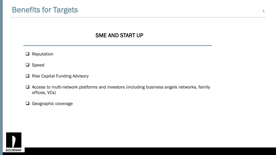### SME AND START UP

**Q** Reputation

□ Speed

- $\Box$  Risk Capital Funding Advisory
- $\Box$  Access to multi-network platforms and investors (including business angels networks, family offices, VCs)
- Geographic coverage

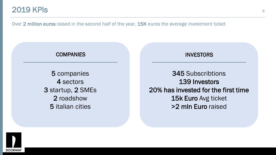# **2019 KPIs** 5

Over 2 million euros raised in the second half of the year, 15K euros the average investment ticket

## **COMPANIES** INVESTORS

5 companies 4 sectors 3 startup, 2 SMEs 2 roadshow 5 italian cities

345 Subscribtions 139 Investors 20% has invested for the first time 15k Euro Avg ticket >2 mln Euro raised

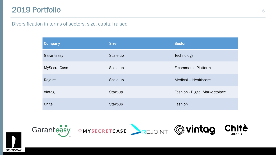**DOORWAY** 

#### Diversification in terms of sectors, size, capital raised

| Company             | <b>Size</b> | <b>Sector</b>                  |
|---------------------|-------------|--------------------------------|
| Garanteasy          | Scale-up    | Technology                     |
| <b>MySecretCase</b> | Scale-up    | E-commerce Platform            |
| Rejoint             | Scale-up    | Medical - Healthcare           |
| Vintag              | Start-up    | Fashion - Digital Markeptplace |
| Chitè               | Start-up    | Fashion                        |

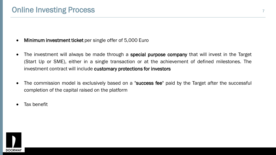- Minimum investment ticket per single offer of 5,000 Euro
- The investment will always be made through a special purpose company that will invest in the Target (Start Up or SME), either in a single transaction or at the achievement of defined milestones. The investment contract will include customary protections for investors
- The commission model is exclusively based on a "success fee" paid by the Target after the successful completion of the capital raised on the platform
- Tax benefit

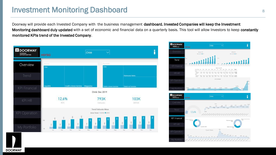# Investment Monitoring Dashboard

Doorway will provide each Invested Company with the business management dashboard. Invested Companies will keep the Investment Monitoring dashboard duly updated with a set of economic and financial data on a quarterly basis. This tool will allow Investors to keep constantly monitored KPIs trend of the Invested Company.







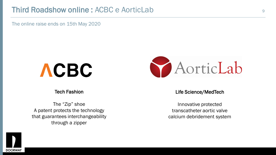# Third Roadshow online : ACBC e AorticLab <sup>9</sup>

The online raise ends on 15th May 2020



Tech Fashion

The "Zip" shoe A patent protects the technology that guarantees interchangeability through a zipper



#### Life Science/MedTech

Innovative protected transcatheter aortic valve calcium debridement system

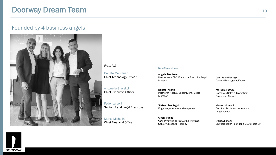#### Founded by 4 business angels



*From left*

Donato Montanari Chief Technology Officer

Antonella Grassigli Chief Executive Officer

Federica Lolli Senior IP and Legal Executive

Marco Michelini Chief Financial Officer

#### New Shareholders

Angela Montanari Partner Your CFO, Fractional Executive Angel Investor

Renate Koenig Partner at Koenig Skocir Kiem, Board Member

Stefano Montaguti Engineer, Operations Management

Cinzia Farisè CEO Prysmian Turkey, Angel Investor, Senior Advisor AT Kearney

Gian Paolo Fedrigo General Manager at Facco

Marcello Petrucci Corporate Sales & Marketing Director at Caprari

Vincenzo Limoni Certified Public Accountant and Legal Auditor

Davide Limoni Entrepreneuer, Founder & CEO Studio LP